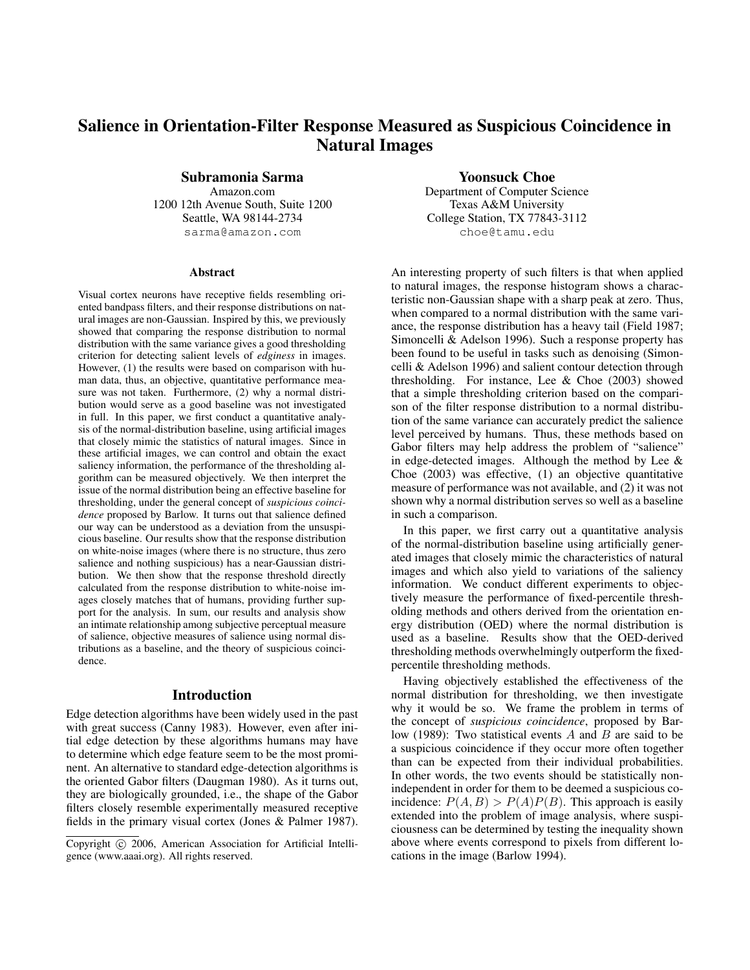# Salience in Orientation-Filter Response Measured as Suspicious Coincidence in Natural Images

# Subramonia Sarma

Amazon.com 1200 12th Avenue South, Suite 1200 Seattle, WA 98144-2734 sarma@amazon.com

#### **Abstract**

Visual cortex neurons have receptive fields resembling oriented bandpass filters, and their response distributions on natural images are non-Gaussian. Inspired by this, we previously showed that comparing the response distribution to normal distribution with the same variance gives a good thresholding criterion for detecting salient levels of *edginess* in images. However, (1) the results were based on comparison with human data, thus, an objective, quantitative performance measure was not taken. Furthermore, (2) why a normal distribution would serve as a good baseline was not investigated in full. In this paper, we first conduct a quantitative analysis of the normal-distribution baseline, using artificial images that closely mimic the statistics of natural images. Since in these artificial images, we can control and obtain the exact saliency information, the performance of the thresholding algorithm can be measured objectively. We then interpret the issue of the normal distribution being an effective baseline for thresholding, under the general concept of *suspicious coincidence* proposed by Barlow. It turns out that salience defined our way can be understood as a deviation from the unsuspicious baseline. Our results show that the response distribution on white-noise images (where there is no structure, thus zero salience and nothing suspicious) has a near-Gaussian distribution. We then show that the response threshold directly calculated from the response distribution to white-noise images closely matches that of humans, providing further support for the analysis. In sum, our results and analysis show an intimate relationship among subjective perceptual measure of salience, objective measures of salience using normal distributions as a baseline, and the theory of suspicious coincidence.

#### Introduction

Edge detection algorithms have been widely used in the past with great success (Canny 1983). However, even after initial edge detection by these algorithms humans may have to determine which edge feature seem to be the most prominent. An alternative to standard edge-detection algorithms is the oriented Gabor filters (Daugman 1980). As it turns out, they are biologically grounded, i.e., the shape of the Gabor filters closely resemble experimentally measured receptive fields in the primary visual cortex (Jones & Palmer 1987).

### Yoonsuck Choe

Department of Computer Science Texas A&M University College Station, TX 77843-3112 choe@tamu.edu

An interesting property of such filters is that when applied to natural images, the response histogram shows a characteristic non-Gaussian shape with a sharp peak at zero. Thus, when compared to a normal distribution with the same variance, the response distribution has a heavy tail (Field 1987; Simoncelli & Adelson 1996). Such a response property has been found to be useful in tasks such as denoising (Simoncelli & Adelson 1996) and salient contour detection through thresholding. For instance, Lee  $& \text{Choe } (2003) \text{ showed}$ that a simple thresholding criterion based on the comparison of the filter response distribution to a normal distribution of the same variance can accurately predict the salience level perceived by humans. Thus, these methods based on Gabor filters may help address the problem of "salience" in edge-detected images. Although the method by Lee & Choe (2003) was effective, (1) an objective quantitative measure of performance was not available, and (2) it was not shown why a normal distribution serves so well as a baseline in such a comparison.

In this paper, we first carry out a quantitative analysis of the normal-distribution baseline using artificially generated images that closely mimic the characteristics of natural images and which also yield to variations of the saliency information. We conduct different experiments to objectively measure the performance of fixed-percentile thresholding methods and others derived from the orientation energy distribution (OED) where the normal distribution is used as a baseline. Results show that the OED-derived thresholding methods overwhelmingly outperform the fixedpercentile thresholding methods.

Having objectively established the effectiveness of the normal distribution for thresholding, we then investigate why it would be so. We frame the problem in terms of the concept of *suspicious coincidence*, proposed by Barlow (1989): Two statistical events  $A$  and  $B$  are said to be a suspicious coincidence if they occur more often together than can be expected from their individual probabilities. In other words, the two events should be statistically nonindependent in order for them to be deemed a suspicious coincidence:  $P(A, B) > P(A)P(B)$ . This approach is easily extended into the problem of image analysis, where suspiciousness can be determined by testing the inequality shown above where events correspond to pixels from different locations in the image (Barlow 1994).

Copyright © 2006, American Association for Artificial Intelligence (www.aaai.org). All rights reserved.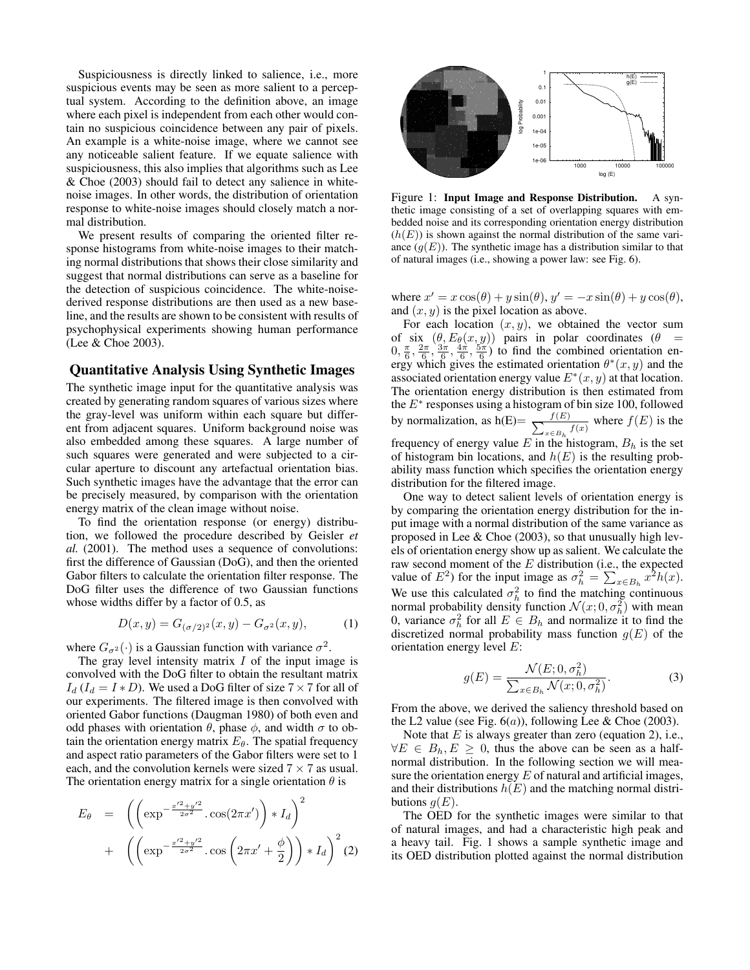Suspiciousness is directly linked to salience, i.e., more suspicious events may be seen as more salient to a perceptual system. According to the definition above, an image where each pixel is independent from each other would contain no suspicious coincidence between any pair of pixels. An example is a white-noise image, where we cannot see any noticeable salient feature. If we equate salience with suspiciousness, this also implies that algorithms such as Lee & Choe (2003) should fail to detect any salience in whitenoise images. In other words, the distribution of orientation response to white-noise images should closely match a normal distribution.

We present results of comparing the oriented filter response histograms from white-noise images to their matching normal distributions that shows their close similarity and suggest that normal distributions can serve as a baseline for the detection of suspicious coincidence. The white-noisederived response distributions are then used as a new baseline, and the results are shown to be consistent with results of psychophysical experiments showing human performance (Lee & Choe 2003).

## Quantitative Analysis Using Synthetic Images

The synthetic image input for the quantitative analysis was created by generating random squares of various sizes where the gray-level was uniform within each square but different from adjacent squares. Uniform background noise was also embedded among these squares. A large number of such squares were generated and were subjected to a circular aperture to discount any artefactual orientation bias. Such synthetic images have the advantage that the error can be precisely measured, by comparison with the orientation energy matrix of the clean image without noise.

To find the orientation response (or energy) distribution, we followed the procedure described by Geisler *et al.* (2001). The method uses a sequence of convolutions: first the difference of Gaussian (DoG), and then the oriented Gabor filters to calculate the orientation filter response. The DoG filter uses the difference of two Gaussian functions whose widths differ by a factor of 0.5, as

$$
D(x, y) = G_{(\sigma/2)^2}(x, y) - G_{\sigma^2}(x, y), \tag{1}
$$

where  $G_{\sigma^2}(\cdot)$  is a Gaussian function with variance  $\sigma^2$ .

The gray level intensity matrix  $I$  of the input image is convolved with the DoG filter to obtain the resultant matrix  $I_d$  ( $I_d = I * D$ ). We used a DoG filter of size  $7 \times 7$  for all of our experiments. The filtered image is then convolved with oriented Gabor functions (Daugman 1980) of both even and odd phases with orientation  $\theta$ , phase  $\phi$ , and width  $\sigma$  to obtain the orientation energy matrix  $E_{\theta}$ . The spatial frequency and aspect ratio parameters of the Gabor filters were set to 1 each, and the convolution kernels were sized  $7 \times 7$  as usual. The orientation energy matrix for a single orientation  $\theta$  is

$$
E_{\theta} = \left( \left( \exp^{-\frac{x'^2 + y'^2}{2\sigma^2}} \cdot \cos(2\pi x') \right) * I_d \right)^2 + \left( \left( \exp^{-\frac{x'^2 + y'^2}{2\sigma^2}} \cdot \cos\left(2\pi x' + \frac{\phi}{2}\right) \right) * I_d \right)^2 (2)
$$



Figure 1: Input Image and Response Distribution. A synthetic image consisting of a set of overlapping squares with embedded noise and its corresponding orientation energy distribution  $(h(E))$  is shown against the normal distribution of the same variance  $(g(E))$ . The synthetic image has a distribution similar to that of natural images (i.e., showing a power law: see Fig. 6).

where  $x' = x \cos(\theta) + y \sin(\theta)$ ,  $y' = -x \sin(\theta) + y \cos(\theta)$ , and  $(x, y)$  is the pixel location as above.

For each location  $(x, y)$ , we obtained the vector sum of six  $(\theta, E_{\theta}(x, y))$  pairs in polar coordinates  $(\theta =$  $(0, \frac{\pi}{6}, \frac{2\pi}{6}, \frac{3\pi}{6}, \frac{4\pi}{6}, \frac{5\pi}{6})$  to find the combined orientation energy which gives the estimated orientation  $\theta^*(x, y)$  and the associated orientation energy value  $E^*(x, y)$  at that location. The orientation energy distribution is then estimated from the  $E^*$  responses using a histogram of bin size 100, followed by normalization, as h(E)=  $\frac{f(E)}{\sum_{x \in R}$  $\frac{f(E)}{x \in B_h}$  where  $f(E)$  is the frequency of energy value  $E$  in the histogram,  $B_h$  is the set of histogram bin locations, and  $h(E)$  is the resulting probability mass function which specifies the orientation energy distribution for the filtered image.

One way to detect salient levels of orientation energy is by comparing the orientation energy distribution for the input image with a normal distribution of the same variance as proposed in Lee & Choe (2003), so that unusually high levels of orientation energy show up as salient. We calculate the raw second moment of the E distribution (i.e., the expected value of  $E^2$ ) for the input image as  $\sigma_h^2 = \sum_{x \in B_h} x^2 h(x)$ . We use this calculated  $\sigma_h^2$  to find the matching continuous normal probability density function  $\mathcal{N}(x; 0, \sigma_h^2)$  with mean 0, variance  $\sigma_h^2$  for all  $E \in B_h$  and normalize it to find the discretized normal probability mass function  $g(E)$  of the orientation energy level E:

$$
g(E) = \frac{\mathcal{N}(E; 0, \sigma_h^2)}{\sum_{x \in B_h} \mathcal{N}(x; 0, \sigma_h^2)}.
$$
 (3)

From the above, we derived the saliency threshold based on the L2 value (see Fig.  $6(a)$ ), following Lee & Choe (2003).

Note that  $E$  is always greater than zero (equation 2), i.e.,  $\forall E \in B_h, E \geq 0$ , thus the above can be seen as a halfnormal distribution. In the following section we will measure the orientation energy  $E$  of natural and artificial images, and their distributions  $h(E)$  and the matching normal distributions  $q(E)$ .

The OED for the synthetic images were similar to that of natural images, and had a characteristic high peak and a heavy tail. Fig. 1 shows a sample synthetic image and its OED distribution plotted against the normal distribution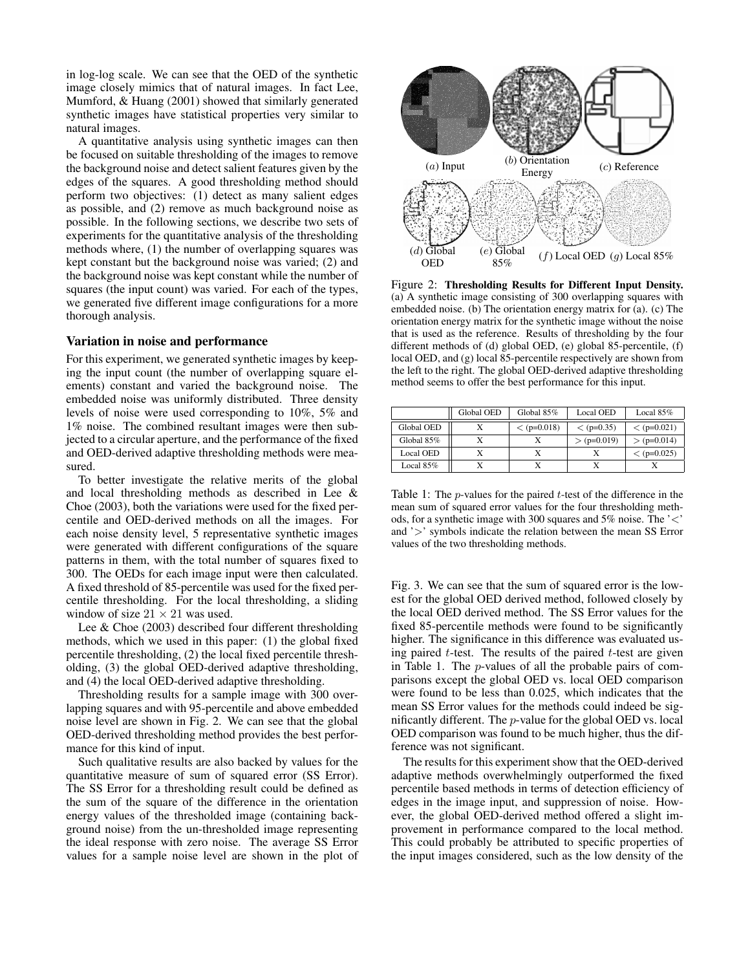in log-log scale. We can see that the OED of the synthetic image closely mimics that of natural images. In fact Lee, Mumford, & Huang (2001) showed that similarly generated synthetic images have statistical properties very similar to natural images.

A quantitative analysis using synthetic images can then be focused on suitable thresholding of the images to remove the background noise and detect salient features given by the edges of the squares. A good thresholding method should perform two objectives: (1) detect as many salient edges as possible, and (2) remove as much background noise as possible. In the following sections, we describe two sets of experiments for the quantitative analysis of the thresholding methods where, (1) the number of overlapping squares was kept constant but the background noise was varied; (2) and the background noise was kept constant while the number of squares (the input count) was varied. For each of the types, we generated five different image configurations for a more thorough analysis.

# Variation in noise and performance

For this experiment, we generated synthetic images by keeping the input count (the number of overlapping square elements) constant and varied the background noise. The embedded noise was uniformly distributed. Three density levels of noise were used corresponding to 10%, 5% and 1% noise. The combined resultant images were then subjected to a circular aperture, and the performance of the fixed and OED-derived adaptive thresholding methods were measured.

To better investigate the relative merits of the global and local thresholding methods as described in Lee & Choe (2003), both the variations were used for the fixed percentile and OED-derived methods on all the images. For each noise density level, 5 representative synthetic images were generated with different configurations of the square patterns in them, with the total number of squares fixed to 300. The OEDs for each image input were then calculated. A fixed threshold of 85-percentile was used for the fixed percentile thresholding. For the local thresholding, a sliding window of size  $21 \times 21$  was used.

Lee & Choe (2003) described four different thresholding methods, which we used in this paper: (1) the global fixed percentile thresholding, (2) the local fixed percentile thresholding, (3) the global OED-derived adaptive thresholding, and (4) the local OED-derived adaptive thresholding.

Thresholding results for a sample image with 300 overlapping squares and with 95-percentile and above embedded noise level are shown in Fig. 2. We can see that the global OED-derived thresholding method provides the best performance for this kind of input.

Such qualitative results are also backed by values for the quantitative measure of sum of squared error (SS Error). The SS Error for a thresholding result could be defined as the sum of the square of the difference in the orientation energy values of the thresholded image (containing background noise) from the un-thresholded image representing the ideal response with zero noise. The average SS Error values for a sample noise level are shown in the plot of



Figure 2: Thresholding Results for Different Input Density. (a) A synthetic image consisting of 300 overlapping squares with embedded noise. (b) The orientation energy matrix for (a). (c) The orientation energy matrix for the synthetic image without the noise that is used as the reference. Results of thresholding by the four different methods of (d) global OED, (e) global 85-percentile, (f) local OED, and (g) local 85-percentile respectively are shown from the left to the right. The global OED-derived adaptive thresholding method seems to offer the best performance for this input.

|                  | Global OED | Global 85%    | Local OED     | Local $85%$   |
|------------------|------------|---------------|---------------|---------------|
| Global OED       |            | $<$ (p=0.018) | $<$ (p=0.35)  | $<$ (p=0.021) |
| Global 85%       |            |               | $> (p=0.019)$ | $>$ (p=0.014) |
| <b>Local OED</b> |            |               |               | $<$ (p=0.025) |
| Local $85%$      |            |               |               |               |

Table 1: The *p*-values for the paired  $t$ -test of the difference in the mean sum of squared error values for the four thresholding methods, for a synthetic image with 300 squares and 5% noise. The '<' and '>' symbols indicate the relation between the mean SS Error values of the two thresholding methods.

Fig. 3. We can see that the sum of squared error is the lowest for the global OED derived method, followed closely by the local OED derived method. The SS Error values for the fixed 85-percentile methods were found to be significantly higher. The significance in this difference was evaluated using paired  $t$ -test. The results of the paired  $t$ -test are given in Table 1. The p-values of all the probable pairs of comparisons except the global OED vs. local OED comparison were found to be less than 0.025, which indicates that the mean SS Error values for the methods could indeed be significantly different. The p-value for the global OED vs. local OED comparison was found to be much higher, thus the difference was not significant.

The results for this experiment show that the OED-derived adaptive methods overwhelmingly outperformed the fixed percentile based methods in terms of detection efficiency of edges in the image input, and suppression of noise. However, the global OED-derived method offered a slight improvement in performance compared to the local method. This could probably be attributed to specific properties of the input images considered, such as the low density of the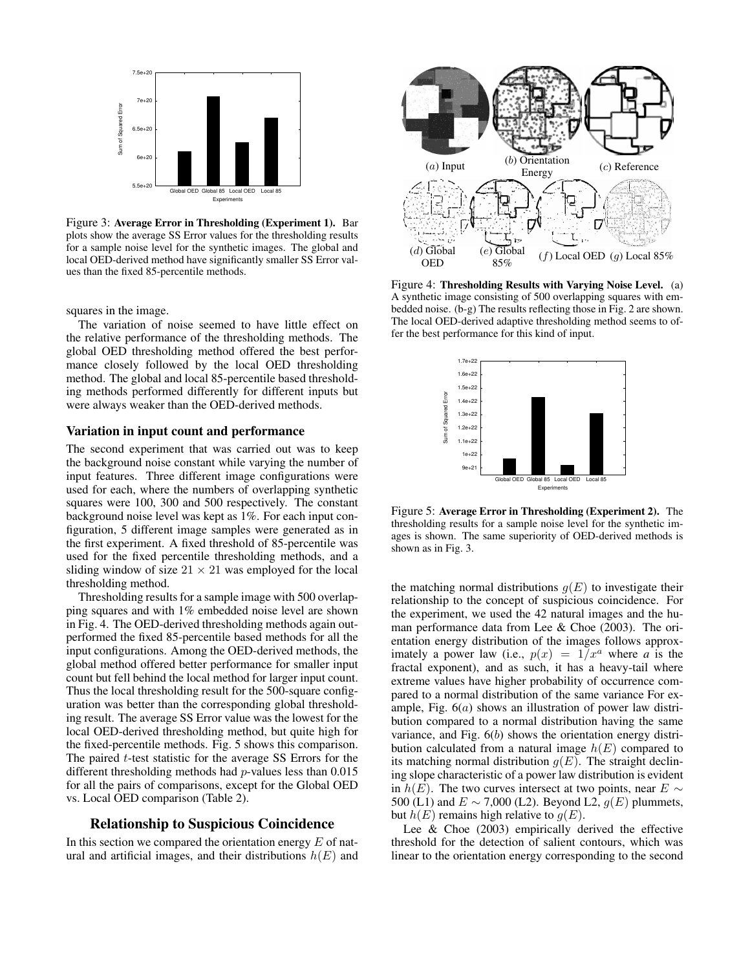

Figure 3: Average Error in Thresholding (Experiment 1). Bar plots show the average SS Error values for the thresholding results for a sample noise level for the synthetic images. The global and local OED-derived method have significantly smaller SS Error values than the fixed 85-percentile methods.

squares in the image.

The variation of noise seemed to have little effect on the relative performance of the thresholding methods. The global OED thresholding method offered the best performance closely followed by the local OED thresholding method. The global and local 85-percentile based thresholding methods performed differently for different inputs but were always weaker than the OED-derived methods.

#### Variation in input count and performance

The second experiment that was carried out was to keep the background noise constant while varying the number of input features. Three different image configurations were used for each, where the numbers of overlapping synthetic squares were 100, 300 and 500 respectively. The constant background noise level was kept as 1%. For each input configuration, 5 different image samples were generated as in the first experiment. A fixed threshold of 85-percentile was used for the fixed percentile thresholding methods, and a sliding window of size  $21 \times 21$  was employed for the local thresholding method.

Thresholding results for a sample image with 500 overlapping squares and with 1% embedded noise level are shown in Fig. 4. The OED-derived thresholding methods again outperformed the fixed 85-percentile based methods for all the input configurations. Among the OED-derived methods, the global method offered better performance for smaller input count but fell behind the local method for larger input count. Thus the local thresholding result for the 500-square configuration was better than the corresponding global thresholding result. The average SS Error value was the lowest for the local OED-derived thresholding method, but quite high for the fixed-percentile methods. Fig. 5 shows this comparison. The paired  $t$ -test statistic for the average SS Errors for the different thresholding methods had p-values less than 0.015 for all the pairs of comparisons, except for the Global OED vs. Local OED comparison (Table 2).

## Relationship to Suspicious Coincidence

In this section we compared the orientation energy  $E$  of natural and artificial images, and their distributions  $h(E)$  and



Figure 4: Thresholding Results with Varying Noise Level. (a) A synthetic image consisting of 500 overlapping squares with embedded noise. (b-g) The results reflecting those in Fig. 2 are shown. The local OED-derived adaptive thresholding method seems to offer the best performance for this kind of input.



Figure 5: Average Error in Thresholding (Experiment 2). The thresholding results for a sample noise level for the synthetic images is shown. The same superiority of OED-derived methods is shown as in Fig. 3.

the matching normal distributions  $q(E)$  to investigate their relationship to the concept of suspicious coincidence. For the experiment, we used the 42 natural images and the human performance data from Lee & Choe (2003). The orientation energy distribution of the images follows approximately a power law (i.e.,  $p(x) = 1/x^a$  where *a* is the fractal exponent), and as such, it has a heavy-tail where extreme values have higher probability of occurrence compared to a normal distribution of the same variance For example, Fig. 6(a) shows an illustration of power law distribution compared to a normal distribution having the same variance, and Fig. 6(b) shows the orientation energy distribution calculated from a natural image  $h(E)$  compared to its matching normal distribution  $g(E)$ . The straight declining slope characteristic of a power law distribution is evident in  $h(E)$ . The two curves intersect at two points, near  $E \sim$ 500 (L1) and  $E \sim 7,000$  (L2). Beyond L2,  $g(E)$  plummets, but  $h(E)$  remains high relative to  $g(E)$ .

Lee & Choe (2003) empirically derived the effective threshold for the detection of salient contours, which was linear to the orientation energy corresponding to the second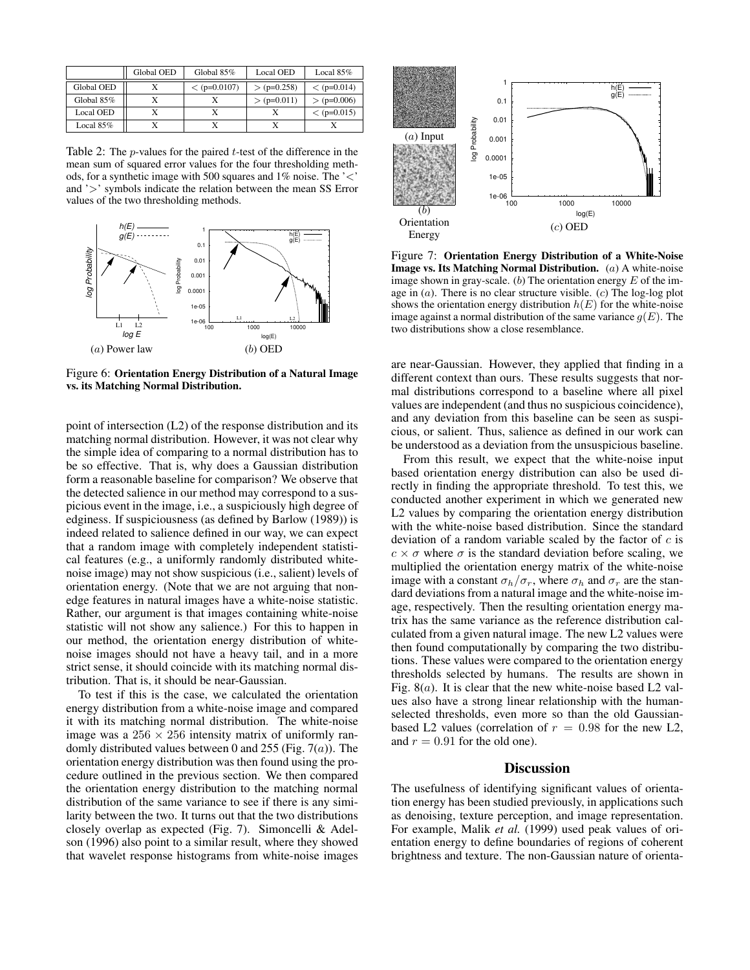|                  | Global OED | Global 85%     | Local OED     | Local $85%$   |
|------------------|------------|----------------|---------------|---------------|
| Global OED       |            | $<$ (p=0.0107) | $> (p=0.258)$ | $<$ (p=0.014) |
| Global 85%       |            |                | $>$ (p=0.011) | $> (p=0.006)$ |
| <b>Local OED</b> |            |                |               | $<$ (p=0.015) |
| Local $85\%$     |            |                |               |               |

Table 2: The *p*-values for the paired *t*-test of the difference in the mean sum of squared error values for the four thresholding methods, for a synthetic image with 500 squares and 1% noise. The '<' and '>' symbols indicate the relation between the mean SS Error values of the two thresholding methods.



Figure 6: Orientation Energy Distribution of a Natural Image vs. its Matching Normal Distribution.

point of intersection (L2) of the response distribution and its matching normal distribution. However, it was not clear why the simple idea of comparing to a normal distribution has to be so effective. That is, why does a Gaussian distribution form a reasonable baseline for comparison? We observe that the detected salience in our method may correspond to a suspicious event in the image, i.e., a suspiciously high degree of edginess. If suspiciousness (as defined by Barlow (1989)) is indeed related to salience defined in our way, we can expect that a random image with completely independent statistical features (e.g., a uniformly randomly distributed whitenoise image) may not show suspicious (i.e., salient) levels of orientation energy. (Note that we are not arguing that nonedge features in natural images have a white-noise statistic. Rather, our argument is that images containing white-noise statistic will not show any salience.) For this to happen in our method, the orientation energy distribution of whitenoise images should not have a heavy tail, and in a more strict sense, it should coincide with its matching normal distribution. That is, it should be near-Gaussian.

To test if this is the case, we calculated the orientation energy distribution from a white-noise image and compared it with its matching normal distribution. The white-noise image was a  $256 \times 256$  intensity matrix of uniformly randomly distributed values between 0 and 255 (Fig.  $7(a)$ ). The orientation energy distribution was then found using the procedure outlined in the previous section. We then compared the orientation energy distribution to the matching normal distribution of the same variance to see if there is any similarity between the two. It turns out that the two distributions closely overlap as expected (Fig. 7). Simoncelli & Adelson (1996) also point to a similar result, where they showed that wavelet response histograms from white-noise images



Figure 7: Orientation Energy Distribution of a White-Noise Image vs. Its Matching Normal Distribution. (a) A white-noise image shown in gray-scale. (b) The orientation energy  $E$  of the image in  $(a)$ . There is no clear structure visible.  $(c)$  The log-log plot shows the orientation energy distribution  $h(E)$  for the white-noise image against a normal distribution of the same variance  $q(E)$ . The two distributions show a close resemblance.

are near-Gaussian. However, they applied that finding in a different context than ours. These results suggests that normal distributions correspond to a baseline where all pixel values are independent (and thus no suspicious coincidence), and any deviation from this baseline can be seen as suspicious, or salient. Thus, salience as defined in our work can be understood as a deviation from the unsuspicious baseline.

From this result, we expect that the white-noise input based orientation energy distribution can also be used directly in finding the appropriate threshold. To test this, we conducted another experiment in which we generated new L2 values by comparing the orientation energy distribution with the white-noise based distribution. Since the standard deviation of a random variable scaled by the factor of  $c$  is  $c \times \sigma$  where  $\sigma$  is the standard deviation before scaling, we multiplied the orientation energy matrix of the white-noise image with a constant  $\sigma_h/\sigma_r$ , where  $\sigma_h$  and  $\sigma_r$  are the standard deviations from a natural image and the white-noise image, respectively. Then the resulting orientation energy matrix has the same variance as the reference distribution calculated from a given natural image. The new L2 values were then found computationally by comparing the two distributions. These values were compared to the orientation energy thresholds selected by humans. The results are shown in Fig.  $8(a)$ . It is clear that the new white-noise based L2 values also have a strong linear relationship with the humanselected thresholds, even more so than the old Gaussianbased L2 values (correlation of  $r = 0.98$  for the new L2, and  $r = 0.91$  for the old one).

## **Discussion**

The usefulness of identifying significant values of orientation energy has been studied previously, in applications such as denoising, texture perception, and image representation. For example, Malik *et al.* (1999) used peak values of orientation energy to define boundaries of regions of coherent brightness and texture. The non-Gaussian nature of orienta-